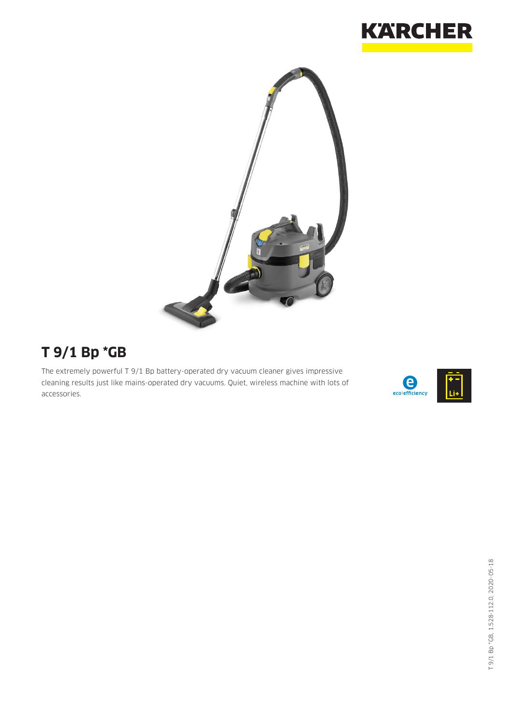



# **T 9/1 Bp \*GB**

The extremely powerful T 9/1 Bp battery-operated dry vacuum cleaner gives impressive cleaning results just like mains-operated dry vacuums. Quiet, wireless machine with lots of accessories.

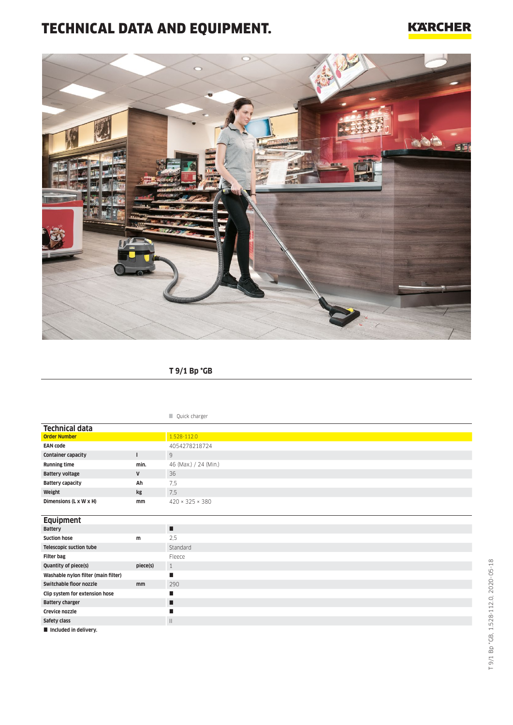## TECHNICAL DATA AND EQUIPMENT.

### **KARCHER**



### **T 9/1 Bp \*GB**

#### **Quick charger**

| <b>Technical data</b>     |      |                             |
|---------------------------|------|-----------------------------|
| <b>Order Number</b>       |      | 1.528-112.0                 |
| <b>EAN code</b>           |      | 4054278218724               |
| <b>Container capacity</b> |      | 9                           |
| <b>Running time</b>       | min. | 46 (Max.) / 24 (Min.)       |
| <b>Battery voltage</b>    | V    | 36                          |
| <b>Battery capacity</b>   | Ah   | 7,5                         |
| Weight                    | kg   | 7,5                         |
| Dimensions (L x W x H)    | mm   | $420 \times 325 \times 380$ |
|                           |      |                             |
| <b>Equipment</b>          |      |                             |

| $-$ qvipinent                       |          |              |
|-------------------------------------|----------|--------------|
| <b>Battery</b>                      |          | п            |
| <b>Suction hose</b>                 | m        | 2.5          |
| <b>Telescopic suction tube</b>      |          | Standard     |
| <b>Filter bag</b>                   |          | Fleece       |
| Quantity of piece(s)                | piece(s) | 1            |
| Washable nylon filter (main filter) |          |              |
| Switchable floor nozzle             | mm       | 290          |
| Clip system for extension hose      |          | п            |
| <b>Battery charger</b>              |          | П            |
| Crevice nozzle                      |          |              |
| Safety class                        |          | $\mathbf{H}$ |
| Included in delivery.               |          |              |